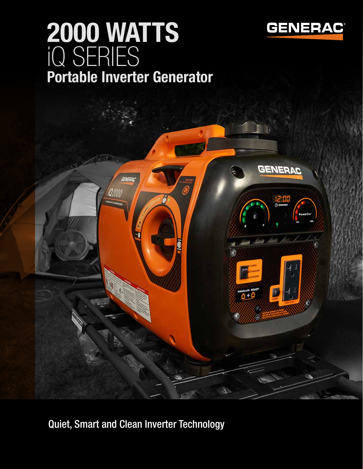

# iQ SERIES 2000 WATTS Portable Inverter Generator



Quiet, Smart and Clean Inverter Technology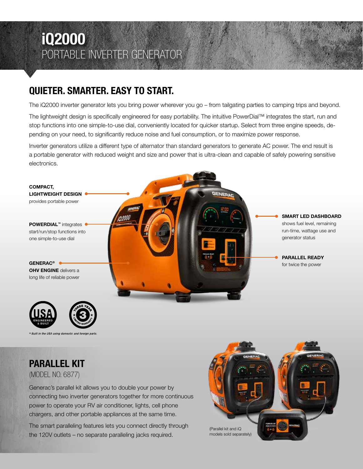### iQ2000 PORTABLE INVERTER GENERATOR

#### QUIETER. SMARTER. EASY TO START.

The iQ2000 inverter generator lets you bring power wherever you go – from tailgating parties to camping trips and beyond.

The lightweight design is specifically engineered for easy portability. The intuitive PowerDial™ integrates the start, run and stop functions into one simple-to-use dial, conveniently located for quicker startup. Select from three engine speeds, depending on your need, to significantly reduce noise and fuel consumption, or to maximize power response.

Inverter generators utilize a different type of alternator than standard generators to generate AC power. The end result is a portable generator with reduced weight and size and power that is ultra-clean and capable of safely powering sensitive electronics.



Built in the USA using do.

PARALLEL KIT (MODEL NO. 6877)

Generac's parallel kit allows you to double your power by connecting two inverter generators together for more continuous power to operate your RV air conditioner, lights, cell phone chargers, and other portable appliances at the same time.

The smart paralleling features lets you connect directly through the 120V outlets – no separate paralleling jacks required.

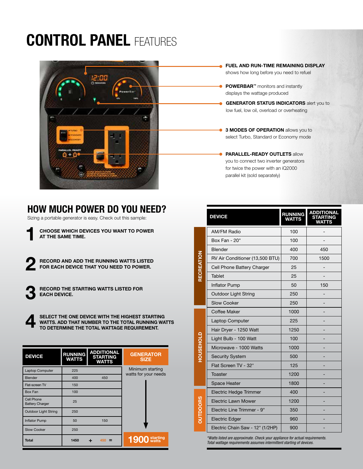## **CONTROL PANEL FEATURES**



- FUEL AND RUN-TIME REMAINING DISPLAY shows how long before you need to refuel
- POWERBAR™ monitors and instantly displays the wattage produced
- **GENERATOR STATUS INDICATORS** alert you to low fuel, low oil, overload or overheating

3 MODES OF OPERATION allows you to select Turbo, Standard or Economy mode

PARALLEL-READY OUTLETS allow you to connect two inverter generators for twice the power with an iQ2000 parallel kit (sold separately)

#### HOW MUCH POWER DO YOU NEED?

Sizing a portable generator is easy. Check out this sample:

CHOOSE WHICH DEVICES YOU WANT TO POWER AT THE SAME TIME. 1

RECORD AND ADD THE RUNNING WATTS LISTED FOR EACH DEVICE THAT YOU NEED TO POWER. 2

> RECORD THE STARTING WATTS LISTED FOR EACH DEVICE.

3

4

SELECT THE ONE DEVICE WITH THE HIGHEST STARTING WATTS. ADD THAT NUMBER TO THE TOTAL RUNNING WATTS TO DETERMINE THE TOTAL WATTAGE REQUIREMENT.

| <b>DEVICE</b>                               | <b>RUNNING</b><br><b>WATTS</b> | <b>ADDITIONAL</b><br><b>STARTING</b><br><b>WATTS</b> | <b>GENERATOR</b><br><b>SIZE</b>          |
|---------------------------------------------|--------------------------------|------------------------------------------------------|------------------------------------------|
| Laptop Computer                             | 225                            |                                                      | Minimum starting<br>watts for your needs |
| <b>Blender</b>                              | 400                            | 450                                                  |                                          |
| Flat-screen TV                              | 150                            |                                                      |                                          |
| Box Fan                                     | 100                            |                                                      |                                          |
| <b>Cell Phone</b><br><b>Battery Charger</b> | 25                             |                                                      |                                          |
| <b>Outdoor Light String</b>                 | 250                            |                                                      |                                          |
| <b>Inflator Pump</b>                        | 50                             | 150                                                  |                                          |
| <b>Slow Cooker</b>                          | 250                            |                                                      |                                          |
| <b>Total</b>                                | 1450                           | 450                                                  | 1900 starting                            |

|                   | <b>DEVICE</b>                    | <b>RUNNING</b><br><b>WATTS</b> | <b>ADDITIONAL</b><br>STARTING<br>WATTS |
|-------------------|----------------------------------|--------------------------------|----------------------------------------|
| <b>RECREATION</b> | <b>AM/FM Radio</b>               | 100                            |                                        |
|                   | Box Fan - 20"                    | 100                            |                                        |
|                   | <b>Blender</b>                   | 400                            | 450                                    |
|                   | RV Air Conditioner (13,500 BTU)  | 700                            | 1500                                   |
|                   | Cell Phone Battery Charger       | 25                             |                                        |
|                   | <b>Tablet</b>                    | 25                             |                                        |
|                   | <b>Inflator Pump</b>             | 50                             | 150                                    |
|                   | <b>Outdoor Light String</b>      | 250                            |                                        |
|                   | <b>Slow Cooker</b>               | 250                            |                                        |
| <b>HOUSEHOLD</b>  | <b>Coffee Maker</b>              | 1000                           |                                        |
|                   | <b>Laptop Computer</b>           | 225                            |                                        |
|                   | Hair Dryer - 1250 Watt           | 1250                           |                                        |
|                   | Light Bulb - 100 Watt            | 100                            |                                        |
|                   | Microwave - 1000 Watts           | 1000                           |                                        |
|                   | <b>Security System</b>           | 500                            |                                        |
|                   | Flat Screen TV - 32"             | 125                            |                                        |
|                   | Toaster                          | 1200                           |                                        |
|                   | <b>Space Heater</b>              | 1800                           |                                        |
| <b>OUTDOORS</b>   | <b>Electric Hedge Trimmer</b>    | 400                            |                                        |
|                   | <b>Electric Lawn Mower</b>       | 1200                           |                                        |
|                   | Electric Line Trimmer - 9"       | 350                            |                                        |
|                   | <b>Electric Edger</b>            | 960                            |                                        |
|                   | Electric Chain Saw - 12" (1/2HP) | 900                            |                                        |

*\*Watts listed are approximate. Check your appliance for actual requirements. Total wattage requirements assumes intermittent starting of devices.*